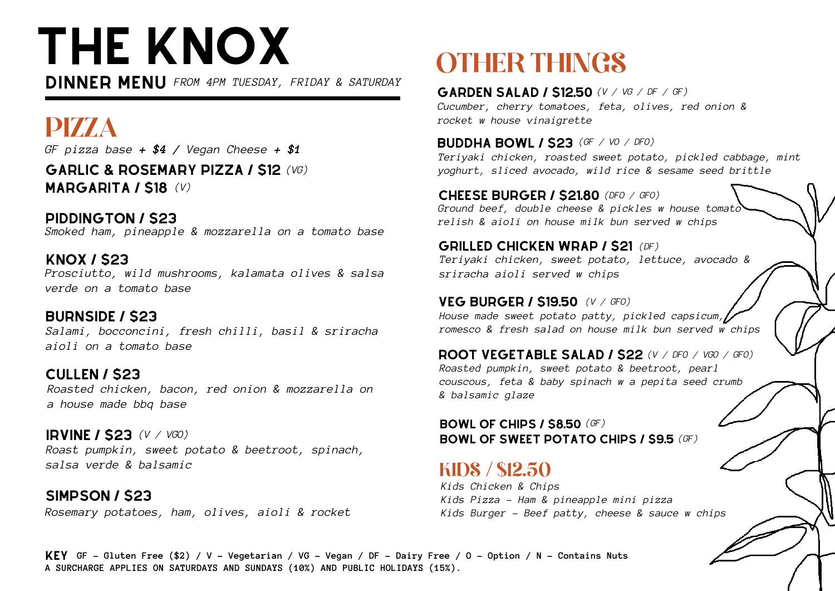# THE KNOX

DINNER MENU *FROM 4PM TUESDAY, FRIDAY & SATURDAY*

*GF pizza base + \$4 / Vegan Cheese + \$1* PIZZA

garlic & rosemary pizza / \$12 *(VG)* MARGARITA / \$18 *(V)*

PIDDINGTON / \$23 *Smoked ham, pineapple & mozzarella on a tomato base*

knox / \$23 *Prosciutto, wild mushrooms, kalamata olives & salsa verde on a tomato base*

burnside / \$23 *Salami, bocconcini, fresh chilli, basil & sriracha aioli on a tomato base*

cullen / \$23 *Roasted chicken, bacon, red onion & mozzarella on a house made bbq base*

irvine / \$23 *(V / VGO) Roast pumpkin, sweet potato & beetroot, spinach, salsa verde & balsamic*

simpson / \$23 *Rosemary potatoes, ham, olives, aioli & rocket*

# OTHER THINGS

garden salad / \$12.50 *(V / VG / DF / GF)Cucumber, cherry tomatoes, feta, olives, red onion & rocket w house vinaigrette*

**BUDDHA BOWL / \$23** (GF / VO / DFO) *Teriyaki chicken, roasted sweet potato, pickled cabbage, mint yoghurt, sliced avocado, wild rice & sesame seed brittle*

cheese burger / \$21.80 *(DFO / GFO) Ground beef, double cheese & pickles w house tomato relish & aioli on house milk bun served w chips*

**GRILLED CHICKEN WRAP / \$21 (DF)** *Teriyaki chicken, sweet potato, lettuce, avocado & sriracha aioli served w chips*

veg burger / \$19.50 *(V / GFO) House made sweet potato patty, pickled capsicum, romesco & fresh salad on house milk bun served w chips*

root vegetable salad / \$22 *(V / DFO / VGO / GFO) Roasted pumpkin, sweet potato & beetroot, pearl couscous, feta & baby spinach w a pepita seed crumb & balsamic glaze*

bowl of chips / \$8.50 *(GF)* bowl of sweet potato chips / \$9.5 *(GF)*

### KIDS / \$12.50

*Kids Chicken & Chips Kids Pizza - Ham & pineapple mini pizza Kids Burger - Beef patty, cheese & sauce w chips*

KEY GF - Gluten Free (\$2) / V - Vegetarian / VG - Vegan / DF - Dairy Free / O - Option / N - Contains Nuts **A SURCHARGE APPLIES ON SATURDAYS AND SUNDAYS (10%) AND PUBLIC HOLIDAYS (15%).**